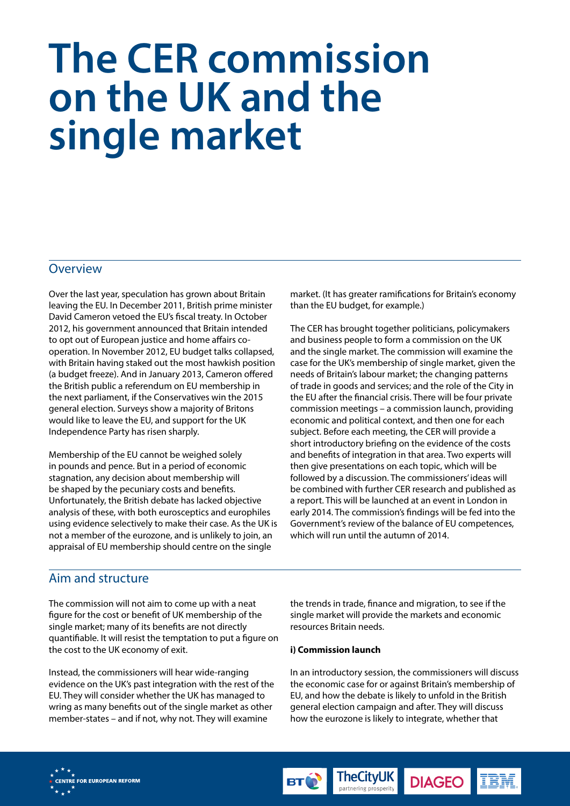# **The CER commission on the UK and the single market**

### **Overview**

Over the last year, speculation has grown about Britain leaving the EU. In December 2011, British prime minister David Cameron vetoed the EU's fiscal treaty. In October 2012, his government announced that Britain intended to opt out of European justice and home affairs cooperation. In November 2012, EU budget talks collapsed, with Britain having staked out the most hawkish position (a budget freeze). And in January 2013, Cameron offered the British public a referendum on EU membership in the next parliament, if the Conservatives win the 2015 general election. Surveys show a majority of Britons would like to leave the EU, and support for the UK Independence Party has risen sharply.

Membership of the EU cannot be weighed solely in pounds and pence. But in a period of economic stagnation, any decision about membership will be shaped by the pecuniary costs and benefits. Unfortunately, the British debate has lacked objective analysis of these, with both eurosceptics and europhiles using evidence selectively to make their case. As the UK is not a member of the eurozone, and is unlikely to join, an appraisal of EU membership should centre on the single

market. (It has greater ramifications for Britain's economy than the EU budget, for example.)

The CER has brought together politicians, policymakers and business people to form a commission on the UK and the single market. The commission will examine the case for the UK's membership of single market, given the needs of Britain's labour market; the changing patterns of trade in goods and services; and the role of the City in the EU after the financial crisis. There will be four private commission meetings – a commission launch, providing economic and political context, and then one for each subject. Before each meeting, the CER will provide a short introductory briefing on the evidence of the costs and benefits of integration in that area. Two experts will then give presentations on each topic, which will be followed by a discussion. The commissioners' ideas will be combined with further CER research and published as a report. This will be launched at an event in London in early 2014. The commission's findings will be fed into the Government's review of the balance of EU competences, which will run until the autumn of 2014.

## Aim and structure

The commission will not aim to come up with a neat figure for the cost or benefit of UK membership of the single market; many of its benefits are not directly quantifiable. It will resist the temptation to put a figure on the cost to the UK economy of exit.

Instead, the commissioners will hear wide-ranging evidence on the UK's past integration with the rest of the EU. They will consider whether the UK has managed to wring as many benefits out of the single market as other member-states – and if not, why not. They will examine

the trends in trade, finance and migration, to see if the single market will provide the markets and economic resources Britain needs.

#### **i) Commission launch**

In an introductory session, the commissioners will discuss the economic case for or against Britain's membership of EU, and how the debate is likely to unfold in the British general election campaign and after. They will discuss how the eurozone is likely to integrate, whether that

**DIAGEO** 

**TheCityUK** 

partnering prosperity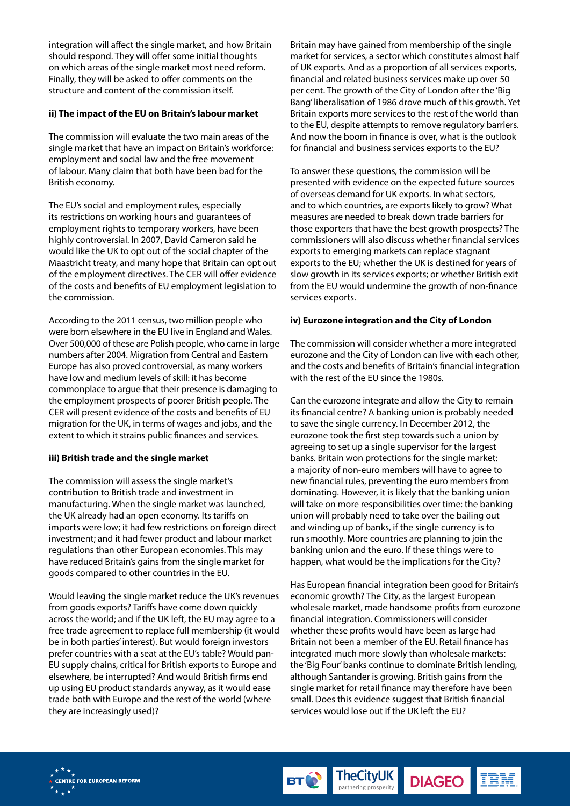integration will affect the single market, and how Britain should respond. They will offer some initial thoughts on which areas of the single market most need reform. Finally, they will be asked to offer comments on the structure and content of the commission itself.

#### **ii) The impact of the EU on Britain's labour market**

The commission will evaluate the two main areas of the single market that have an impact on Britain's workforce: employment and social law and the free movement of labour. Many claim that both have been bad for the British economy.

The EU's social and employment rules, especially its restrictions on working hours and guarantees of employment rights to temporary workers, have been highly controversial. In 2007, David Cameron said he would like the UK to opt out of the social chapter of the Maastricht treaty, and many hope that Britain can opt out of the employment directives. The CER will offer evidence of the costs and benefits of EU employment legislation to the commission.

According to the 2011 census, two million people who were born elsewhere in the EU live in England and Wales. Over 500,000 of these are Polish people, who came in large numbers after 2004. Migration from Central and Eastern Europe has also proved controversial, as many workers have low and medium levels of skill: it has become commonplace to argue that their presence is damaging to the employment prospects of poorer British people. The CER will present evidence of the costs and benefits of EU migration for the UK, in terms of wages and jobs, and the extent to which it strains public finances and services.

#### **iii) British trade and the single market**

The commission will assess the single market's contribution to British trade and investment in manufacturing. When the single market was launched, the UK already had an open economy. Its tariffs on imports were low; it had few restrictions on foreign direct investment; and it had fewer product and labour market regulations than other European economies. This may have reduced Britain's gains from the single market for goods compared to other countries in the EU.

Would leaving the single market reduce the UK's revenues from goods exports? Tariffs have come down quickly across the world; and if the UK left, the EU may agree to a free trade agreement to replace full membership (it would be in both parties' interest). But would foreign investors prefer countries with a seat at the EU's table? Would pan-EU supply chains, critical for British exports to Europe and elsewhere, be interrupted? And would British firms end up using EU product standards anyway, as it would ease trade both with Europe and the rest of the world (where they are increasingly used)?

Britain may have gained from membership of the single market for services, a sector which constitutes almost half of UK exports. And as a proportion of all services exports, financial and related business services make up over 50 per cent. The growth of the City of London after the 'Big Bang' liberalisation of 1986 drove much of this growth. Yet Britain exports more services to the rest of the world than to the EU, despite attempts to remove regulatory barriers. And now the boom in finance is over, what is the outlook for financial and business services exports to the EU?

To answer these questions, the commission will be presented with evidence on the expected future sources of overseas demand for UK exports. In what sectors, and to which countries, are exports likely to grow? What measures are needed to break down trade barriers for those exporters that have the best growth prospects? The commissioners will also discuss whether financial services exports to emerging markets can replace stagnant exports to the EU; whether the UK is destined for years of slow growth in its services exports; or whether British exit from the EU would undermine the growth of non-finance services exports.

#### **iv) Eurozone integration and the City of London**

The commission will consider whether a more integrated eurozone and the City of London can live with each other, and the costs and benefits of Britain's financial integration with the rest of the EU since the 1980s.

Can the eurozone integrate and allow the City to remain its financial centre? A banking union is probably needed to save the single currency. In December 2012, the eurozone took the first step towards such a union by agreeing to set up a single supervisor for the largest banks. Britain won protections for the single market: a majority of non-euro members will have to agree to new financial rules, preventing the euro members from dominating. However, it is likely that the banking union will take on more responsibilities over time: the banking union will probably need to take over the bailing out and winding up of banks, if the single currency is to run smoothly. More countries are planning to join the banking union and the euro. If these things were to happen, what would be the implications for the City?

Has European financial integration been good for Britain's economic growth? The City, as the largest European wholesale market, made handsome profits from eurozone financial integration. Commissioners will consider whether these profits would have been as large had Britain not been a member of the EU. Retail finance has integrated much more slowly than wholesale markets: the 'Big Four' banks continue to dominate British lending, although Santander is growing. British gains from the single market for retail finance may therefore have been small. Does this evidence suggest that British financial services would lose out if the UK left the EU?

**DIAGEO** 

**TheCityUK** 

partnering prosperity

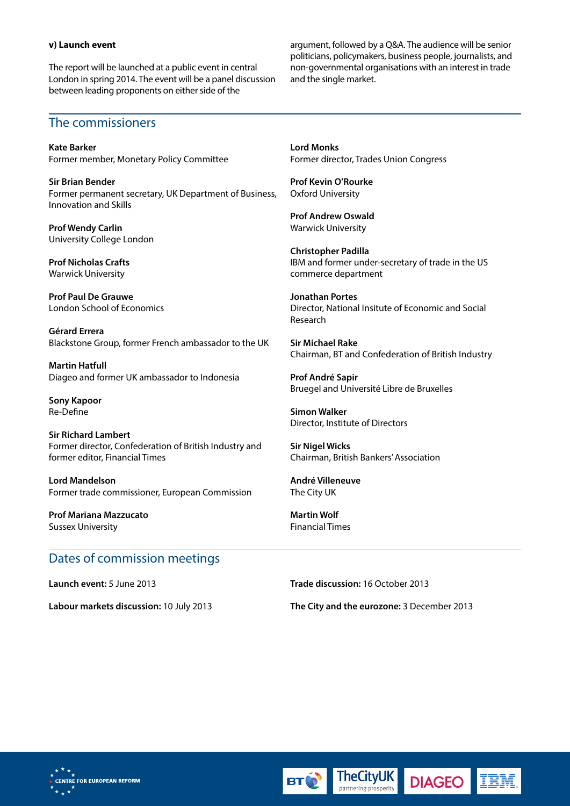#### **v) Launch event**

The report will be launched at a public event in central London in spring 2014. The event will be a panel discussion between leading proponents on either side of the

argument, followed by a Q&A. The audience will be senior politicians, policymakers, business people, journalists, and non-governmental organisations with an interest in trade and the single market.

## The commissioners

**Kate Barker** Former member, Monetary Policy Committee

**Sir Brian Bender**  Former permanent secretary, UK Department of Business, Innovation and Skills

**Prof Wendy Carlin** University College London

**Prof Nicholas Crafts** Warwick University

**Prof Paul De Grauwe** London School of Economics

**Gérard Errera** Blackstone Group, former French ambassador to the UK

**Martin Hatfull** Diageo and former UK ambassador to Indonesia

**Sony Kapoor** Re-Define

**Sir Richard Lambert** Former director, Confederation of British Industry and former editor, Financial Times

**Lord Mandelson** Former trade commissioner, European Commission

**Prof Mariana Mazzucato** Sussex University

# Dates of commission meetings

**Launch event:** 5 June 2013

**Labour markets discussion:** 10 July 2013

**Lord Monks** Former director, Trades Union Congress

**Prof Kevin O'Rourke** Oxford University

**Prof Andrew Oswald** Warwick University

**Christopher Padilla** IBM and former under-secretary of trade in the US commerce department

**Jonathan Portes** Director, National Insitute of Economic and Social Research

**Sir Michael Rake** Chairman, BT and Confederation of British Industry

**Prof André Sapir** Bruegel and Université Libre de Bruxelles

**Simon Walker** Director, Institute of Directors

**Sir Nigel Wicks** Chairman, British Bankers' Association

**André Villeneuve** The City UK

**Martin Wolf** Financial Times

**Trade discussion:** 16 October 2013

**TheCityUK** 

partnering prosperity

**The City and the eurozone:** 3 December 2013

**DIAGEO**